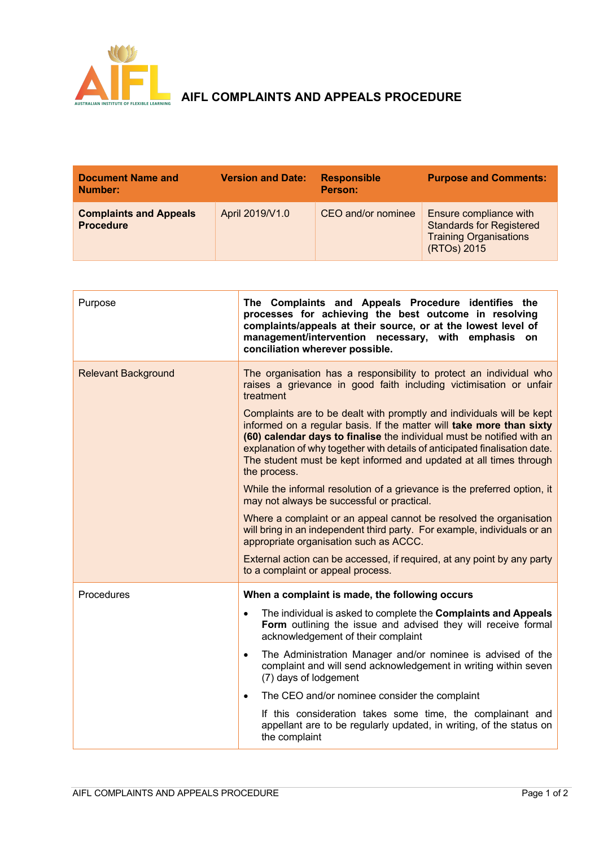

## **AIFL COMPLAINTS AND APPEALS PROCEDURE**

| <b>Document Name and</b><br>Number:               | <b>Version and Date:</b> | <b>Responsible</b><br>Person: | <b>Purpose and Comments:</b>                                                                              |
|---------------------------------------------------|--------------------------|-------------------------------|-----------------------------------------------------------------------------------------------------------|
| <b>Complaints and Appeals</b><br><b>Procedure</b> | April 2019/V1.0          | CEO and/or nominee            | Ensure compliance with<br><b>Standards for Registered</b><br><b>Training Organisations</b><br>(RTOs) 2015 |

| Purpose                    | The Complaints and Appeals Procedure identifies the<br>processes for achieving the best outcome in resolving<br>complaints/appeals at their source, or at the lowest level of<br>management/intervention necessary, with emphasis on<br>conciliation wherever possible.                                                                                                                     |  |
|----------------------------|---------------------------------------------------------------------------------------------------------------------------------------------------------------------------------------------------------------------------------------------------------------------------------------------------------------------------------------------------------------------------------------------|--|
| <b>Relevant Background</b> | The organisation has a responsibility to protect an individual who<br>raises a grievance in good faith including victimisation or unfair<br>treatment                                                                                                                                                                                                                                       |  |
|                            | Complaints are to be dealt with promptly and individuals will be kept<br>informed on a regular basis. If the matter will take more than sixty<br>(60) calendar days to finalise the individual must be notified with an<br>explanation of why together with details of anticipated finalisation date.<br>The student must be kept informed and updated at all times through<br>the process. |  |
|                            | While the informal resolution of a grievance is the preferred option, it<br>may not always be successful or practical.                                                                                                                                                                                                                                                                      |  |
|                            | Where a complaint or an appeal cannot be resolved the organisation<br>will bring in an independent third party. For example, individuals or an<br>appropriate organisation such as ACCC.                                                                                                                                                                                                    |  |
|                            | External action can be accessed, if required, at any point by any party<br>to a complaint or appeal process.                                                                                                                                                                                                                                                                                |  |
| Procedures                 | When a complaint is made, the following occurs                                                                                                                                                                                                                                                                                                                                              |  |
|                            | The individual is asked to complete the Complaints and Appeals<br>$\bullet$<br>Form outlining the issue and advised they will receive formal<br>acknowledgement of their complaint                                                                                                                                                                                                          |  |
|                            | The Administration Manager and/or nominee is advised of the<br>$\bullet$<br>complaint and will send acknowledgement in writing within seven<br>(7) days of lodgement                                                                                                                                                                                                                        |  |
|                            | The CEO and/or nominee consider the complaint<br>$\bullet$                                                                                                                                                                                                                                                                                                                                  |  |
|                            | If this consideration takes some time, the complainant and<br>appellant are to be regularly updated, in writing, of the status on<br>the complaint                                                                                                                                                                                                                                          |  |